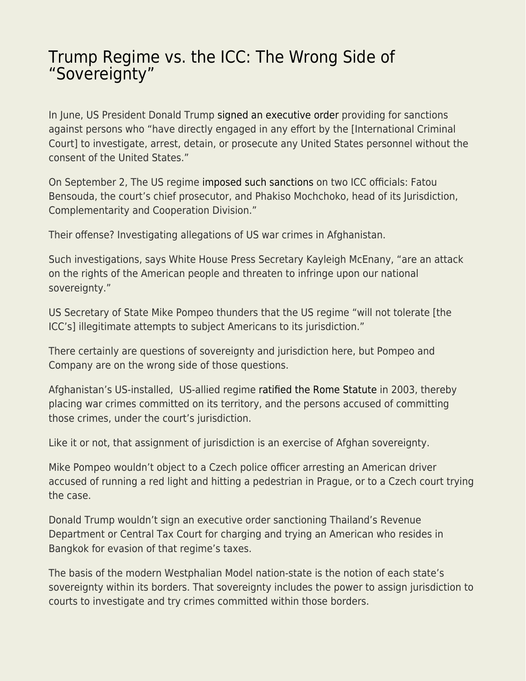## [Trump Regime vs. the ICC: The Wrong Side of](https://everything-voluntary.com/trump-regime-vs-the-icc-the-wrong-side-of-sovereignty) ["Sovereignty"](https://everything-voluntary.com/trump-regime-vs-the-icc-the-wrong-side-of-sovereignty)

In June, US President Donald Trump [signed an executive order](https://www.cnn.com/2020/06/11/politics/icc-executive-order/index.html) providing for sanctions against persons who "have directly engaged in any effort by the [International Criminal Court] to investigate, arrest, detain, or prosecute any United States personnel without the consent of the United States."

On September 2, The US regime [imposed such sanctions](https://www.npr.org/2020/09/02/908896108/trump-administration-sanctions-icc-prosecutor-investigating-alleged-u-s-war-crim) on two ICC officials: Fatou Bensouda, the court's chief prosecutor, and Phakiso Mochchoko, head of its Jurisdiction, Complementarity and Cooperation Division."

Their offense? Investigating allegations of US war crimes in Afghanistan.

Such investigations, says White House Press Secretary Kayleigh McEnany, "are an attack on the rights of the American people and threaten to infringe upon our national sovereignty."

US Secretary of State Mike Pompeo thunders that the US regime "will not tolerate [the ICC's] illegitimate attempts to subject Americans to its jurisdiction."

There certainly are questions of sovereignty and jurisdiction here, but Pompeo and Company are on the wrong side of those questions.

Afghanistan's US-installed, US-allied regime [ratified the Rome Statute](https://en.wikipedia.org/wiki/States_parties_to_the_Rome_Statute_of_the_International_Criminal_Court) in 2003, thereby placing war crimes committed on its territory, and the persons accused of committing those crimes, under the court's jurisdiction.

Like it or not, that assignment of jurisdiction is an exercise of Afghan sovereignty.

Mike Pompeo wouldn't object to a Czech police officer arresting an American driver accused of running a red light and hitting a pedestrian in Prague, or to a Czech court trying the case.

Donald Trump wouldn't sign an executive order sanctioning Thailand's Revenue Department or Central Tax Court for charging and trying an American who resides in Bangkok for evasion of that regime's taxes.

The basis of the modern Westphalian Model nation-state is the notion of each state's sovereignty within its borders. That sovereignty includes the power to assign jurisdiction to courts to investigate and try crimes committed within those borders.